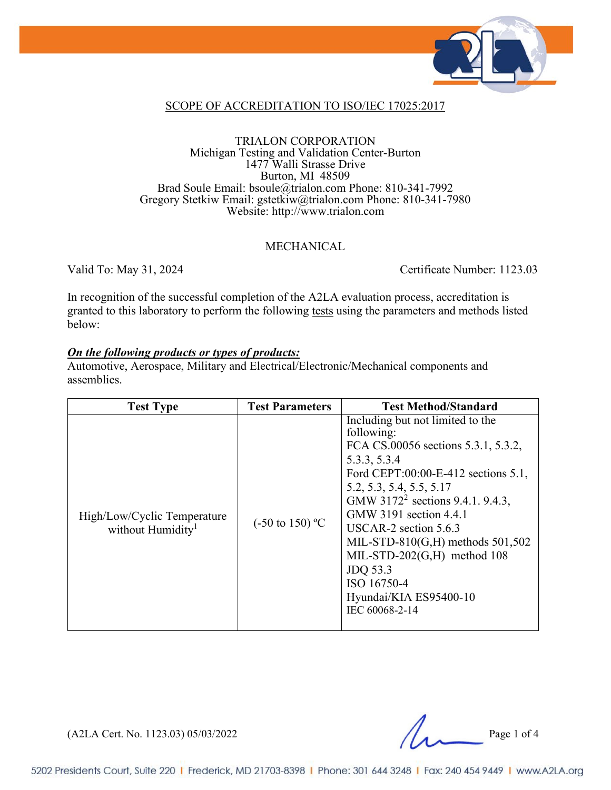

#### SCOPE OF ACCREDITATION TO ISO/IEC 17025:2017

#### TRIALON CORPORATION Michigan Testing and Validation Center-Burton 1477 Walli Strasse Drive Burton, MI 48509 Brad Soule Email: bsoule@trialon.com Phone: 810-341-7992 Gregory Stetkiw Email: gstetkiw@trialon.com Phone: 810-341-7980 Website: http://www.trialon.com

#### MECHANICAL

Valid To: May 31, 2024 Certificate Number: 1123.03

In recognition of the successful completion of the A2LA evaluation process, accreditation is granted to this laboratory to perform the following tests using the parameters and methods listed below:

#### *On the following products or types of products:*

Automotive, Aerospace, Military and Electrical/Electronic/Mechanical components and assemblies.

| <b>Test Type</b>                                             | <b>Test Parameters</b>     | <b>Test Method/Standard</b>                                                                                                                                                                                                                                                                                                                                                                                                   |
|--------------------------------------------------------------|----------------------------|-------------------------------------------------------------------------------------------------------------------------------------------------------------------------------------------------------------------------------------------------------------------------------------------------------------------------------------------------------------------------------------------------------------------------------|
| High/Low/Cyclic Temperature<br>without Humidity <sup>1</sup> | $(-50 \text{ to } 150)$ °C | Including but not limited to the<br>following:<br>FCA CS.00056 sections 5.3.1, 5.3.2,<br>5.3.3, 5.3.4<br>Ford CEPT:00:00-E-412 sections 5.1,<br>5.2, 5.3, 5.4, 5.5, 5.17<br>GMW 3172 <sup>2</sup> sections 9.4.1, 9.4.3,<br>GMW 3191 section 4.4.1<br>USCAR-2 section $5.6.3$<br>MIL-STD-810 $(G,H)$ methods 501,502<br>MIL-STD-202 $(G,H)$ method 108<br>JDQ 53.3<br>ISO 16750-4<br>Hyundai/KIA ES95400-10<br>IEC 60068-2-14 |

 $(A2LA$  Cert. No. 1123.03) 05/03/2022 Page 1 of 4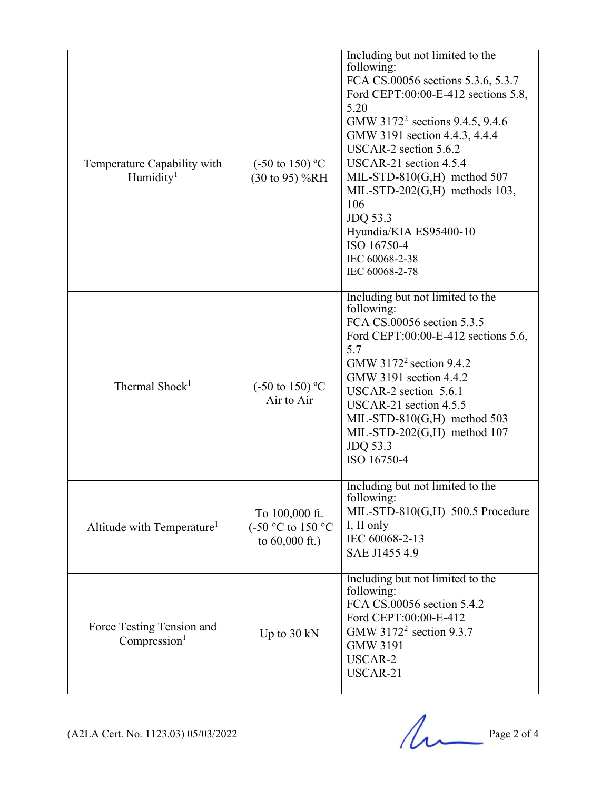| Temperature Capability with<br>Humidity <sup>1</sup>  | $(-50 \text{ to } 150)$ °C<br>(30 to 95) %RH            | Including but not limited to the<br>following:<br>FCA CS.00056 sections 5.3.6, 5.3.7<br>Ford CEPT:00:00-E-412 sections 5.8,<br>5.20<br>GMW 3172 <sup>2</sup> sections 9.4.5, 9.4.6<br>GMW 3191 section 4.4.3, 4.4.4<br>USCAR-2 section 5.6.2<br>USCAR-21 section 4.5.4<br>MIL-STD-810 $(G,H)$ method 507<br>MIL-STD-202 $(G,H)$ methods 103,<br>106<br>JDQ 53.3<br>Hyundia/KIA ES95400-10<br>ISO 16750-4<br>IEC 60068-2-38<br>IEC 60068-2-78 |
|-------------------------------------------------------|---------------------------------------------------------|----------------------------------------------------------------------------------------------------------------------------------------------------------------------------------------------------------------------------------------------------------------------------------------------------------------------------------------------------------------------------------------------------------------------------------------------|
| Thermal Shock <sup>1</sup>                            | $(-50 \text{ to } 150)$ °C<br>Air to Air                | Including but not limited to the<br>following:<br>FCA CS.00056 section 5.3.5<br>Ford CEPT:00:00-E-412 sections 5.6,<br>5.7<br>GMW 3172 <sup>2</sup> section 9.4.2<br>GMW 3191 section 4.4.2<br>USCAR-2 section 5.6.1<br>USCAR-21 section 4.5.5<br>MIL-STD-810 $(G,H)$ method 503<br>MIL-STD-202 $(G,H)$ method 107<br>JDQ 53.3<br>ISO 16750-4                                                                                                |
| Altitude with Temperature <sup>1</sup>                | To 100,000 ft.<br>(-50 °C to 150 °C<br>to $60,000$ ft.) | Including but not limited to the<br>following:<br>MIL-STD-810(G,H) 500.5 Procedure<br>I, II only<br>IEC 60068-2-13<br>SAE J1455 4.9                                                                                                                                                                                                                                                                                                          |
| Force Testing Tension and<br>Compression <sup>1</sup> | Up to $30 \text{ kN}$                                   | Including but not limited to the<br>following:<br>FCA CS.00056 section 5.4.2<br>Ford CEPT:00:00-E-412<br>GMW 3172 <sup>2</sup> section 9.3.7<br><b>GMW 3191</b><br>USCAR-2<br>USCAR-21                                                                                                                                                                                                                                                       |

 $(A2LA$  Cert. No. 1123.03) 05/03/2022 Page 2 of 4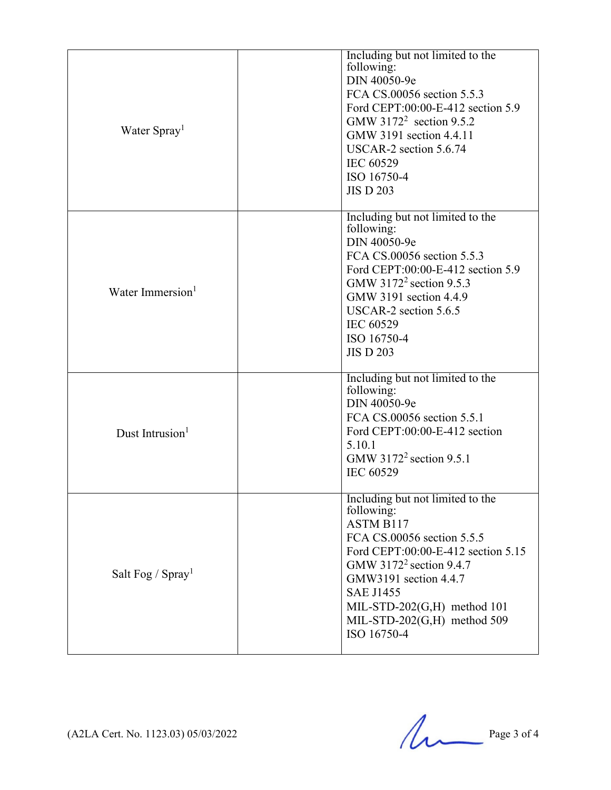| Water Spray <sup>1</sup>     | Including but not limited to the<br>following:<br>DIN 40050-9e<br>FCA CS.00056 section 5.5.3<br>Ford CEPT:00:00-E-412 section 5.9<br>GMW 3172 <sup>2</sup> section 9.5.2<br>GMW 3191 section 4.4.11<br>USCAR-2 section 5.6.74<br>IEC 60529<br>ISO 16750-4<br><b>JIS D 203</b>                          |
|------------------------------|--------------------------------------------------------------------------------------------------------------------------------------------------------------------------------------------------------------------------------------------------------------------------------------------------------|
| Water Immersion <sup>1</sup> | Including but not limited to the<br>following:<br>DIN 40050-9e<br>FCA CS.00056 section 5.5.3<br>Ford CEPT:00:00-E-412 section 5.9<br>GMW 3172 <sup>2</sup> section 9.5.3<br>GMW 3191 section 4.4.9<br>USCAR-2 section 5.6.5<br><b>IEC 60529</b><br>ISO 16750-4<br><b>JIS D 203</b>                     |
| Dust Intrusion <sup>1</sup>  | Including but not limited to the<br>following:<br>DIN 40050-9e<br>FCA CS.00056 section 5.5.1<br>Ford CEPT:00:00-E-412 section<br>5.10.1<br>GMW $3172^2$ section 9.5.1<br><b>IEC 60529</b>                                                                                                              |
| Salt Fog / $Spray1$          | Including but not limited to the<br>following:<br>ASTM B117<br>FCA CS.00056 section 5.5.5<br>Ford CEPT:00:00-E-412 section 5.15<br>GMW 3172 <sup>2</sup> section 9.4.7<br>GMW3191 section 4.4.7<br><b>SAE J1455</b><br>MIL-STD-202 $(G,H)$ method 101<br>MIL-STD-202 $(G,H)$ method 509<br>ISO 16750-4 |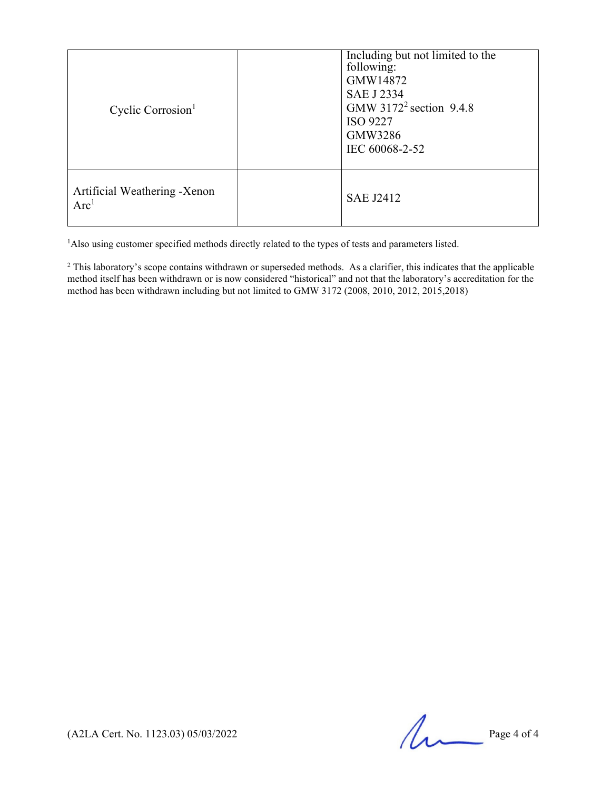| Cyclic Corrosion <sup>1</sup>                    | Including but not limited to the<br>following:<br>GMW14872<br><b>SAE J 2334</b><br>GMW $3172^2$ section 9.4.8<br><b>ISO 9227</b><br>GMW3286<br>IEC 60068-2-52 |
|--------------------------------------------------|---------------------------------------------------------------------------------------------------------------------------------------------------------------|
| Artificial Weathering -Xenon<br>Arc <sup>1</sup> | <b>SAE J2412</b>                                                                                                                                              |

<sup>1</sup>Also using customer specified methods directly related to the types of tests and parameters listed.

<sup>2</sup> This laboratory's scope contains withdrawn or superseded methods. As a clarifier, this indicates that the applicable method itself has been withdrawn or is now considered "historical" and not that the laboratory's accreditation for the method has been withdrawn including but not limited to GMW 3172 (2008, 2010, 2012, 2015,2018)

 $(A2LA$  Cert. No. 1123.03) 05/03/2022 Page 4 of 4